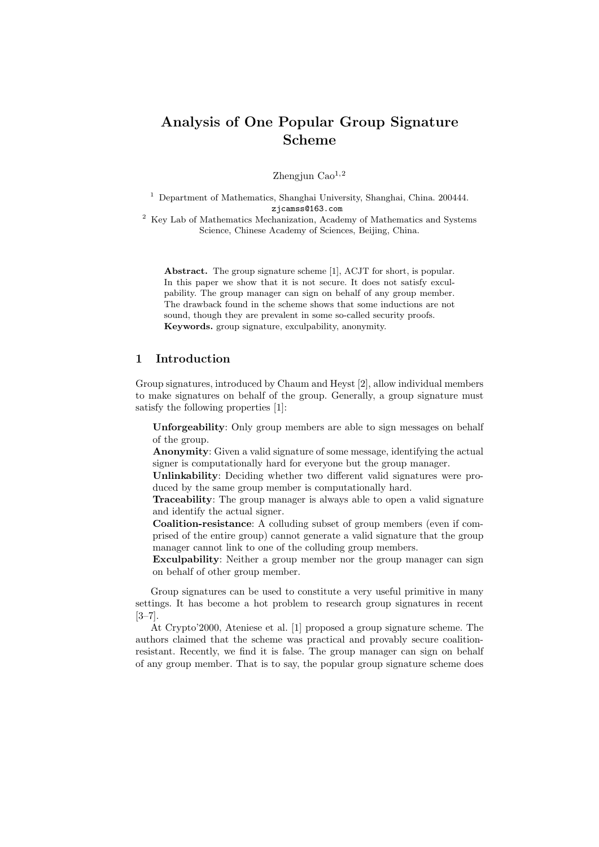# Analysis of One Popular Group Signature Scheme

Zhengjun  $\text{Cao}^{1,2}$ 

<sup>1</sup> Department of Mathematics, Shanghai University, Shanghai, China. 200444. zjcamss@163.com

 $^{\rm 2}$  Key Lab of Mathematics Mechanization, Academy of Mathematics and Systems Science, Chinese Academy of Sciences, Beijing, China.

Abstract. The group signature scheme [1], ACJT for short, is popular. In this paper we show that it is not secure. It does not satisfy exculpability. The group manager can sign on behalf of any group member. The drawback found in the scheme shows that some inductions are not sound, though they are prevalent in some so-called security proofs. Keywords. group signature, exculpability, anonymity.

# 1 Introduction

Group signatures, introduced by Chaum and Heyst [2], allow individual members to make signatures on behalf of the group. Generally, a group signature must satisfy the following properties [1]:

Unforgeability: Only group members are able to sign messages on behalf of the group.

Anonymity: Given a valid signature of some message, identifying the actual signer is computationally hard for everyone but the group manager.

Unlinkability: Deciding whether two different valid signatures were produced by the same group member is computationally hard.

Traceability: The group manager is always able to open a valid signature and identify the actual signer.

Coalition-resistance: A colluding subset of group members (even if comprised of the entire group) cannot generate a valid signature that the group manager cannot link to one of the colluding group members.

Exculpability: Neither a group member nor the group manager can sign on behalf of other group member.

Group signatures can be used to constitute a very useful primitive in many settings. It has become a hot problem to research group signatures in recent [3–7].

At Crypto'2000, Ateniese et al. [1] proposed a group signature scheme. The authors claimed that the scheme was practical and provably secure coalitionresistant. Recently, we find it is false. The group manager can sign on behalf of any group member. That is to say, the popular group signature scheme does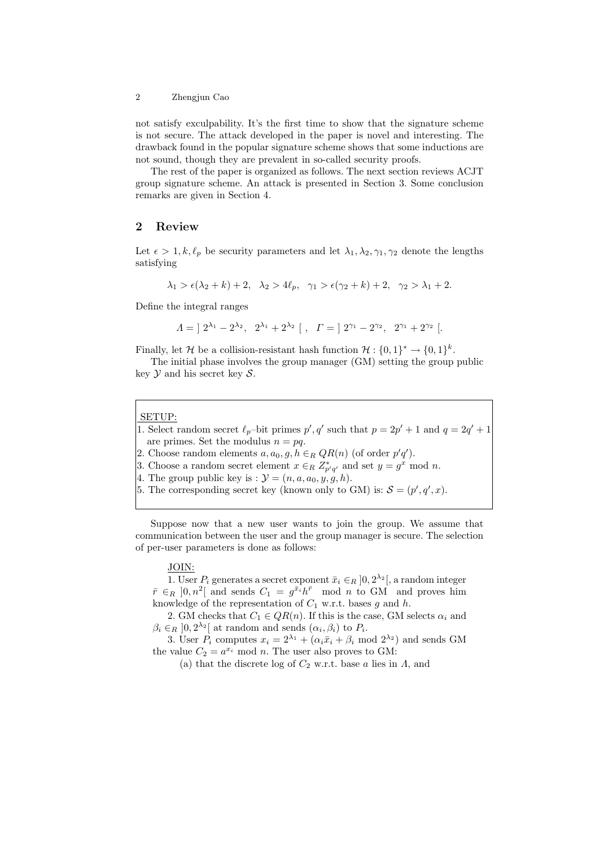#### 2 Zhengjun Cao

not satisfy exculpability. It's the first time to show that the signature scheme is not secure. The attack developed in the paper is novel and interesting. The drawback found in the popular signature scheme shows that some inductions are not sound, though they are prevalent in so-called security proofs.

The rest of the paper is organized as follows. The next section reviews ACJT group signature scheme. An attack is presented in Section 3. Some conclusion remarks are given in Section 4.

# 2 Review

Let  $\epsilon > 1, k, \ell_p$  be security parameters and let  $\lambda_1, \lambda_2, \gamma_1, \gamma_2$  denote the lengths satisfying

$$
\lambda_1 > \epsilon(\lambda_2 + k) + 2, \quad \lambda_2 > 4\ell_p, \quad \gamma_1 > \epsilon(\gamma_2 + k) + 2, \quad \gamma_2 > \lambda_1 + 2.
$$

Define the integral ranges

$$
\Lambda = [2^{\lambda_1} - 2^{\lambda_2}, 2^{\lambda_1} + 2^{\lambda_2} ], \Gamma = [2^{\gamma_1} - 2^{\gamma_2}, 2^{\gamma_1} + 2^{\gamma_2} ].
$$

Finally, let H be a collision-resistant hash function  $\mathcal{H}: \{0,1\}^* \to \{0,1\}^k$ .

The initial phase involves the group manager (GM) setting the group public key  $\mathcal Y$  and his secret key  $\mathcal S$ .

#### SETUP:

- 1. Select random secret  $\ell_p$ –bit primes  $p', q'$  such that  $p = 2p' + 1$  and  $q = 2q' + 1$ are primes. Set the modulus  $n = pq$ .
- 2. Choose random elements  $a, a_0, g, h \in_R QR(n)$  (of order  $p'q'$ ).
- 3. Choose a random secret element  $x \in_R Z^*_{p'q'}$  and set  $y = g^x \mod n$ .
- 4. The group public key is :  $\mathcal{Y} = (n, a, a_0, y, g, h)$ .
- 5. The corresponding secret key (known only to GM) is:  $\mathcal{S} = (p', q', x)$ .

Suppose now that a new user wants to join the group. We assume that communication between the user and the group manager is secure. The selection of per-user parameters is done as follows:

## JOIN:

1. User  $P_i$  generates a secret exponent  $\bar{x}_i \in_R ]0, 2^{\lambda_2}$ , a random integer  $\bar{r} \in_R [0, n^2]$  and sends  $C_1 = g^{\bar{x}_i} h^{\bar{r}}$  mod n to GM and proves him knowledge of the representation of  $C_1$  w.r.t. bases g and h.

2. GM checks that  $C_1 \in QR(n)$ . If this is the case, GM selects  $\alpha_i$  and  $\beta_i \in_R ]0, 2^{\lambda_2} [$  at random and sends  $(\alpha_i, \beta_i)$  to  $P_i$ .

3. User  $P_i$  computes  $x_i = 2^{\lambda_1} + (\alpha_i \bar{x}_i + \beta_i \mod 2^{\lambda_2})$  and sends GM the value  $C_2 = a^{x_i} \mod n$ . The user also proves to GM:

(a) that the discrete log of  $C_2$  w.r.t. base a lies in  $\Lambda$ , and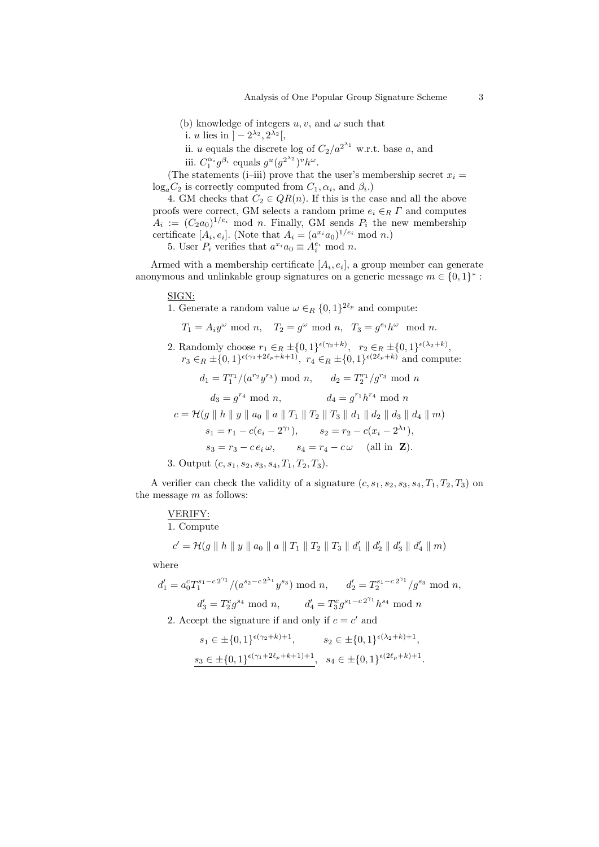- (b) knowledge of integers  $u, v$ , and  $\omega$  such that
- i. u lies in  $]-2^{\lambda_2}, 2^{\lambda_2}$ ,
- ii. u equals the discrete log of  $C_2/a^{2^{\lambda_1}}$  w.r.t. base a, and
- iii.  $C_1^{\alpha_i} g^{\beta_i}$  equals  $g^u (g^{2^{\lambda_2}})^v h^{\omega}$ .

(The statements (i–iii) prove that the user's membership secret  $x_i =$  $log_a C_2$  is correctly computed from  $C_1, \alpha_i$ , and  $\beta_i$ .)

4. GM checks that  $C_2 \in QR(n)$ . If this is the case and all the above proofs were correct, GM selects a random prime  $e_i \in_R \Gamma$  and computes  $A_i := (C_2 a_0)^{1/e_i}$  mod n. Finally, GM sends  $P_i$  the new membership certificate  $[A_i, e_i]$ . (Note that  $A_i = (a^{x_i} a_0)^{1/e_i} \mod n$ .)

5. User  $P_i$  verifies that  $a^{x_i}a_0 \equiv A_i^{e_i} \mod n$ .

Armed with a membership certificate  $[A_i, e_i]$ , a group member can generate anonymous and unlinkable group signatures on a generic message  $m \in \{0,1\}^*$ :

## SIGN:

1. Generate a random value  $\omega \in_R \{0,1\}^{2\ell_p}$  and compute:

$$
T_1 = A_i y^{\omega} \mod n
$$
,  $T_2 = g^{\omega} \mod n$ ,  $T_3 = g^{e_i} h^{\omega} \mod n$ .

2. Randomly choose  $r_1 \in_R \pm \{0,1\}^{\epsilon(\gamma_2+k)}$ ,  $r_2 \in_R \pm \{0,1\}^{\epsilon(\lambda_2+k)}$ ,  $r_3 \in_R \pm \{0,1\}^{\epsilon(\gamma_1+2\ell_p+k+1)}$ ,  $r_4 \in_R \pm \{0,1\}^{\epsilon(2\ell_p+k)}$  and compute:  $d_1 = T_1^{r_1} / (a^{r_2} y^{r_3}) \text{ mod } n, \quad d_2 = T_2^{r_1} / g^{r_3} \text{ mod } n$  $d_3 = g^{r_4} \mod n,$   $d_4 = g^{r_1} h^{r_4} \mod n$  $c = \mathcal{H}(g \parallel h \parallel y \parallel a_0 \parallel a \parallel T_1 \parallel T_2 \parallel T_3 \parallel d_1 \parallel d_2 \parallel d_3 \parallel d_4 \parallel m)$  $s_1 = r_1 - c(e_i - 2^{\gamma_1}), \qquad s_2 = r_2 - c(x_i - 2^{\lambda_1}),$  $s_3 = r_3 - c e_i \omega$ ,  $s_4 = r_4 - c \omega$  (all in **Z**). 3. Output  $(c, s_1, s_2, s_3, s_4, T_1, T_2, T_3)$ .

A verifier can check the validity of a signature  $(c, s_1, s_2, s_3, s_4, T_1, T_2, T_3)$  on the message  $m$  as follows:

VERIFY:  
1. Compute  

$$
c' = \mathcal{H}(g \parallel h \parallel y \parallel a_0 \parallel a \parallel T_1 \parallel T_2 \parallel T_3 \parallel d'_1 \parallel d'_2 \parallel d'_3 \parallel d'_4 \parallel m)
$$

where

$$
d'_1 = a_0^c T_1^{s_1 - c2^{\gamma_1}} / (a^{s_2 - c2^{\lambda_1}} y^{s_3}) \mod n, \qquad d'_2 = T_2^{s_1 - c2^{\gamma_1}} / g^{s_3} \mod n,
$$
  

$$
d'_3 = T_2^c g^{s_4} \mod n, \qquad d'_4 = T_3^c g^{s_1 - c2^{\gamma_1}} h^{s_4} \mod n
$$

2. Accept the signature if and only if  $c = c'$  and

$$
s_1 \in \pm \{0,1\}^{\epsilon(\gamma_2 + k) + 1}, \qquad s_2 \in \pm \{0,1\}^{\epsilon(\lambda_2 + k) + 1},
$$
  

$$
s_3 \in \pm \{0,1\}^{\epsilon(\gamma_1 + 2\ell_p + k + 1) + 1}, \quad s_4 \in \pm \{0,1\}^{\epsilon(2\ell_p + k) + 1}
$$

.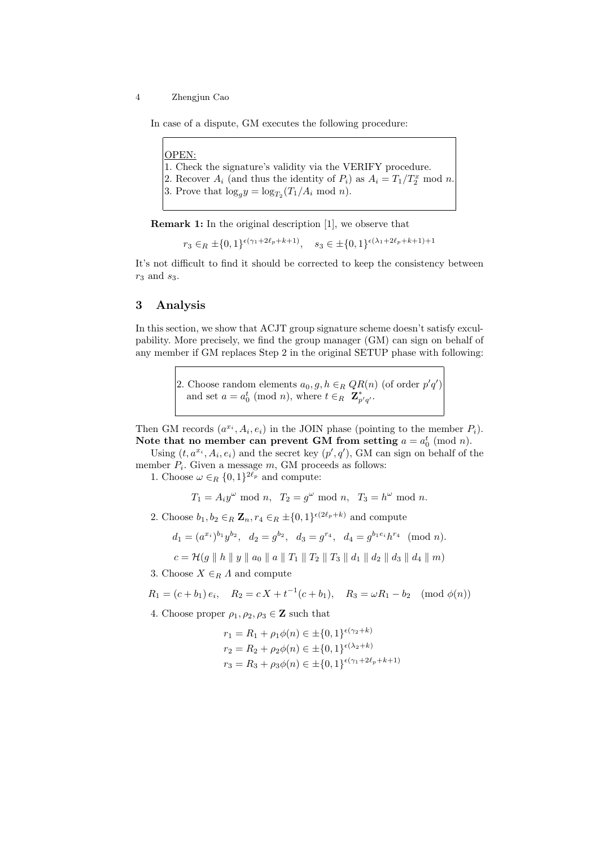4 Zhengjun Cao

In case of a dispute, GM executes the following procedure:

OPEN: 1. Check the signature's validity via the VERIFY procedure. 2. Recover  $A_i$  (and thus the identity of  $P_i$ ) as  $A_i = T_1/T_2^x \mod n$ . 3. Prove that  $\log_g y = \log_{T_2}(T_1/A_i \mod n)$ .

Remark 1: In the original description [1], we observe that

 $r_3 \in_R \pm \{0,1\}^{\epsilon(\gamma_1+2\ell_p+k+1)}, \quad s_3 \in \pm \{0,1\}^{\epsilon(\lambda_1+2\ell_p+k+1)+1}$ 

It's not difficult to find it should be corrected to keep the consistency between  $r_3$  and  $s_3$ .

## 3 Analysis

In this section, we show that ACJT group signature scheme doesn't satisfy exculpability. More precisely, we find the group manager (GM) can sign on behalf of any member if GM replaces Step 2 in the original SETUP phase with following:

> 2. Choose random elements  $a_0, g, h \in_R QR(n)$  (of order  $p'q'$ ) and set  $a = a_0^t \pmod{n}$ , where  $t \in_R \mathbf{Z}_{p'q'}^*$ .

Then GM records  $(a^{x_i}, A_i, e_i)$  in the JOIN phase (pointing to the member  $P_i$ ). Note that no member can prevent GM from setting  $a = a_0^t \pmod{n}$ .

Using  $(t, a^{x_i}, A_i, e_i)$  and the secret key  $(p', q')$ , GM can sign on behalf of the member  $P_i$ . Given a message  $m$ , GM proceeds as follows:

1. Choose  $\omega \in_R \{0,1\}^{2\ell_p}$  and compute:

 $T_1 = A_i y^{\omega} \text{ mod } n$ ,  $T_2 = g^{\omega} \text{ mod } n$ ,  $T_3 = h^{\omega} \text{ mod } n$ .

2. Choose  $b_1, b_2 \in_R \mathbb{Z}_n$ ,  $r_4 \in_R \pm \{0,1\}^{\epsilon(2\ell_p+k)}$  and compute

$$
d_1 = (a^{x_i})^{b_1} y^{b_2}, \quad d_2 = g^{b_2}, \quad d_3 = g^{r_4}, \quad d_4 = g^{b_1 e_i} h^{r_4} \pmod{n}.
$$

$$
c = \mathcal{H}(g \parallel h \parallel y \parallel a_0 \parallel a \parallel T_1 \parallel T_2 \parallel T_3 \parallel d_1 \parallel d_2 \parallel d_3 \parallel d_4 \parallel m)
$$

3. Choose  $X \in_R \Lambda$  and compute

$$
R_1 = (c+b_1)e_i
$$
,  $R_2 = cX + t^{-1}(c+b_1)$ ,  $R_3 = \omega R_1 - b_2 \pmod{\phi(n)}$ 

- 4. Choose proper  $\rho_1, \rho_2, \rho_3 \in \mathbb{Z}$  such that
	- $r_1 = R_1 + \rho_1 \phi(n) \in \pm \{0,1\}^{\epsilon(\gamma_2 + k)}$  $r_2 = R_2 + \rho_2 \phi(n) \in \pm \{0,1\}^{\epsilon(\lambda_2 + k)}$  $r_3 = R_3 + \rho_3 \phi(n) \in \pm \{0,1\}^{\epsilon(\gamma_1 + 2\ell_p + k + 1)}$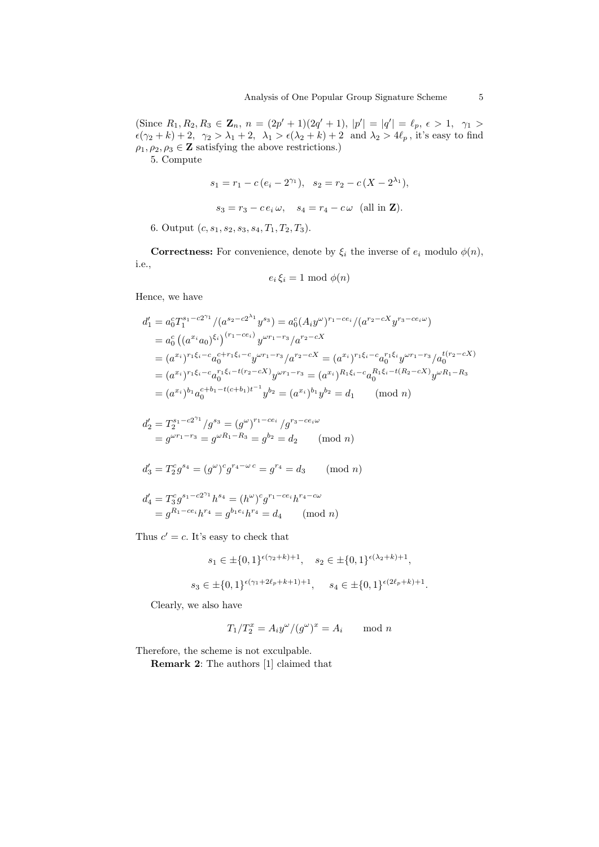(Since  $R_1, R_2, R_3 \in \mathbb{Z}_n$ ,  $n = (2p'+1)(2q'+1)$ ,  $|p'| = |q'| = \ell_p$ ,  $\epsilon > 1$ ,  $\gamma_1 >$  $\epsilon(\gamma_2 + k) + 2$ ,  $\gamma_2 > \lambda_1 + 2$ ,  $\lambda_1 > \epsilon(\lambda_2 + k) + 2$  and  $\lambda_2 > 4\ell_p$ , it's easy to find  $\rho_1, \rho_2, \rho_3 \in \mathbb{Z}$  satisfying the above restrictions.)

5. Compute

$$
s_1 = r_1 - c(e_i - 2^{\gamma_1}), \quad s_2 = r_2 - c(X - 2^{\lambda_1}),
$$
  
 $s_3 = r_3 - ce_i \omega, \quad s_4 = r_4 - c\omega$  (all in **Z**).

6. Output  $(c, s_1, s_2, s_3, s_4, T_1, T_2, T_3)$ .

**Correctness:** For convenience, denote by  $\xi_i$  the inverse of  $e_i$  modulo  $\phi(n)$ , i.e.,

$$
e_i \, \xi_i = 1 \bmod \phi(n)
$$

Hence, we have

$$
d'_{1} = a_{0}^{c}T_{1}^{s_{1}-c2\gamma_{1}}/(a^{s_{2}-c2\lambda_{1}}y^{s_{3}}) = a_{0}^{c}(A_{i}y^{\omega})^{r_{1}-ce_{i}}/(a^{r_{2}-cX}y^{r_{3}-ce_{i}\omega})
$$
  
\n
$$
= a_{0}^{c}((a^{x_{i}}a_{0})^{\xi_{i}})^{(r_{1}-ce_{i})}y^{\omega r_{1}-r_{3}}/a^{r_{2}-cX}
$$
  
\n
$$
= (a^{x_{i}})^{r_{1}\xi_{i}-c}a_{0}^{c+r_{1}\xi_{i}-c}y^{\omega r_{1}-r_{3}}/a^{r_{2}-cX} = (a^{x_{i}})^{r_{1}\xi_{i}-c}a_{0}^{r_{1}\xi_{i}}y^{\omega r_{1}-r_{3}}/a_{0}^{t(r_{2}-cX)}
$$
  
\n
$$
= (a^{x_{i}})^{r_{1}\xi_{i}-c}a_{0}^{r_{1}\xi_{i}-t(r_{2}-cX)}y^{\omega r_{1}-r_{3}} = (a^{x_{i}})^{R_{1}\xi_{i}-c}a_{0}^{R_{1}\xi_{i}-t(R_{2}-cX)}y^{\omega R_{1}-R_{3}}
$$
  
\n
$$
= (a^{x_{i}})^{b_{1}}a_{0}^{c+b_{1}-t(c+b_{1})t^{-1}}y^{b_{2}} = (a^{x_{i}})^{b_{1}}y^{b_{2}} = d_{1} \pmod{n}
$$

$$
d'_2 = T_2^{s_1 - c2^{\gamma_1}} / g^{s_3} = (g^\omega)^{r_1 - c e_i} / g^{r_3 - c e_i \omega}
$$
  
=  $g^{\omega r_1 - r_3} = g^{\omega R_1 - R_3} = g^{b_2} = d_2 \pmod{n}$   

$$
d'_3 = T_2^c g^{s_4} = (g^\omega)^c g^{r_4 - \omega c} = g^{r_4} = d_3 \pmod{n}
$$

$$
d'_4 = T_3^c g^{s_1 - c2^{\gamma_1}} h^{s_4} = (h^{\omega})^c g^{r_1 - c e_i} h^{r_4 - c \omega}
$$
  
=  $g^{R_1 - c e_i} h^{r_4} = g^{b_1 e_i} h^{r_4} = d_4 \pmod{n}$ 

Thus  $c' = c$ . It's easy to check that

$$
s_1 \in \pm \{0, 1\}^{\epsilon(\gamma_2 + k) + 1}, \quad s_2 \in \pm \{0, 1\}^{\epsilon(\lambda_2 + k) + 1},
$$
  

$$
s_3 \in \pm \{0, 1\}^{\epsilon(\gamma_1 + 2\ell_p + k + 1) + 1}, \quad s_4 \in \pm \{0, 1\}^{\epsilon(2\ell_p + k) + 1}.
$$

Clearly, we also have

$$
T_1/T_2^x = A_i y^{\omega}/(g^{\omega})^x = A_i \quad \mod n
$$

Therefore, the scheme is not exculpable.

Remark 2: The authors [1] claimed that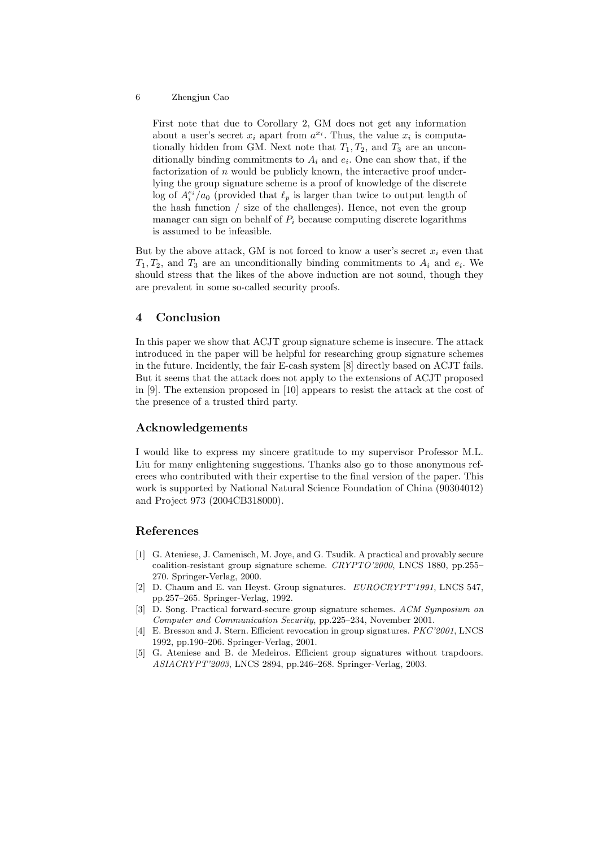#### 6 Zhengjun Cao

First note that due to Corollary 2, GM does not get any information about a user's secret  $x_i$  apart from  $a^{x_i}$ . Thus, the value  $x_i$  is computationally hidden from GM. Next note that  $T_1, T_2$ , and  $T_3$  are an unconditionally binding commitments to  $A_i$  and  $e_i$ . One can show that, if the factorization of  $n$  would be publicly known, the interactive proof underlying the group signature scheme is a proof of knowledge of the discrete log of  $A_i^{e_i}/a_0$  (provided that  $\ell_p$  is larger than twice to output length of the hash function / size of the challenges). Hence, not even the group manager can sign on behalf of  $P_i$  because computing discrete logarithms is assumed to be infeasible.

But by the above attack, GM is not forced to know a user's secret  $x_i$  even that  $T_1, T_2$ , and  $T_3$  are an unconditionally binding commitments to  $A_i$  and  $e_i$ . We should stress that the likes of the above induction are not sound, though they are prevalent in some so-called security proofs.

### 4 Conclusion

In this paper we show that ACJT group signature scheme is insecure. The attack introduced in the paper will be helpful for researching group signature schemes in the future. Incidently, the fair E-cash system [8] directly based on ACJT fails. But it seems that the attack does not apply to the extensions of ACJT proposed in [9]. The extension proposed in [10] appears to resist the attack at the cost of the presence of a trusted third party.

### Acknowledgements

I would like to express my sincere gratitude to my supervisor Professor M.L. Liu for many enlightening suggestions. Thanks also go to those anonymous referees who contributed with their expertise to the final version of the paper. This work is supported by National Natural Science Foundation of China (90304012) and Project 973 (2004CB318000).

### References

- [1] G. Ateniese, J. Camenisch, M. Joye, and G. Tsudik. A practical and provably secure coalition-resistant group signature scheme. CRYPTO'2000, LNCS 1880, pp.255– 270. Springer-Verlag, 2000.
- [2] D. Chaum and E. van Heyst. Group signatures. EUROCRYPT'1991, LNCS 547, pp.257–265. Springer-Verlag, 1992.
- [3] D. Song. Practical forward-secure group signature schemes. ACM Symposium on Computer and Communication Security, pp.225–234, November 2001.
- [4] E. Bresson and J. Stern. Efficient revocation in group signatures. PKC'2001, LNCS 1992, pp.190–206. Springer-Verlag, 2001.
- [5] G. Ateniese and B. de Medeiros. Efficient group signatures without trapdoors. ASIACRYPT'2003, LNCS 2894, pp.246–268. Springer-Verlag, 2003.